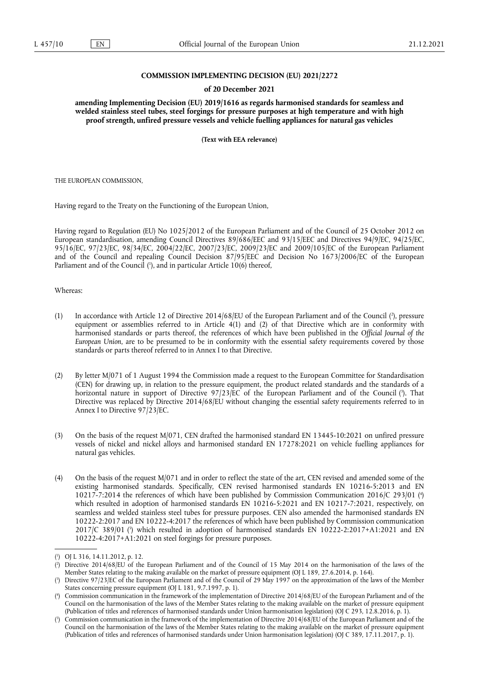#### **COMMISSION IMPLEMENTING DECISION (EU) 2021/2272**

#### **of 20 December 2021**

**amending Implementing Decision (EU) 2019/1616 as regards harmonised standards for seamless and welded stainless steel tubes, steel forgings for pressure purposes at high temperature and with high proof strength, unfired pressure vessels and vehicle fuelling appliances for natural gas vehicles** 

**(Text with EEA relevance)** 

THE EUROPEAN COMMISSION,

Having regard to the Treaty on the Functioning of the European Union,

Having regard to Regulation (EU) No 1025/2012 of the European Parliament and of the Council of 25 October 2012 on European standardisation, amending Council Directives 89/686/EEC and 93/15/EEC and Directives 94/9/EC, 94/25/EC, 95/16/EC, 97/23/EC, 98/34/EC, 2004/22/EC, 2007/23/EC, 2009/23/EC and 2009/105/EC of the European Parliament and of the Council and repealing Council Decision 87/95/EEC and Decision No 1673/2006/EC of the European Parliament and of the Council [\(](#page-0-0)<sup>1</sup>), and in particular Article 10(6) thereof,

<span id="page-0-5"></span>Whereas:

- <span id="page-0-6"></span>(1) In accordance with Article 12 of Directive 2014/68/EU of the European Parliament and of the Council [\(](#page-0-1) 2 ), pressure equipment or assemblies referred to in Article 4(1) and (2) of that Directive which are in conformity with harmonised standards or parts thereof, the references of which have been published in the *Official Journal of the European Union*, are to be presumed to be in conformity with the essential safety requirements covered by those standards or parts thereof referred to in Annex I to that Directive.
- <span id="page-0-7"></span>(2) By letter M/071 of 1 August 1994 the Commission made a request to the European Committee for Standardisation (CEN) for drawing up, in relation to the pressure equipment, the product related standards and the standards of a horizontal nature in support of Directive 97/23/EC of the European Parliament and of the Council (3[\).](#page-0-2) That Directive was replaced by Directive 2014/68/EU without changing the essential safety requirements referred to in Annex I to Directive 97/23/EC.
- (3) On the basis of the request M/071, CEN drafted the harmonised standard EN 13445-10:2021 on unfired pressure vessels of nickel and nickel alloys and harmonised standard EN 17278:2021 on vehicle fuelling appliances for natural gas vehicles.
- <span id="page-0-8"></span>(4) On the basis of the request M/071 and in order to reflect the state of the art, CEN revised and amended some of the existing harmonised standards. Specifically, CEN revised harmonised standards EN 10216-5:2013 and EN 10217-7:2014 the references of which have been published by Commission Communication 2016/C 293/01 <sup>[\(](#page-0-3)4)</sup> which resulted in adoption of harmonised standards EN 10216-5:2021 and EN 10217-7:2021, respectively, on seamless and welded stainless steel tubes for pressure purposes. CEN also amended the harmonised standards EN 10222-2:2017 and EN 10222-4:2017 the references of which have been published by Commission communication 2017/C 389/01 [\(](#page-0-4)5) which resulted in adoption of harmonised standards EN 10222-2:2017+A1:2021 and EN 10222-4:2017+A1:2021 on steel forgings for pressure purposes.

<span id="page-0-9"></span><span id="page-0-0"></span>[<sup>\(</sup>](#page-0-5) 1 ) OJ L 316, 14.11.2012, p. 12.

<span id="page-0-1"></span>[<sup>\(</sup>](#page-0-6) 2 ) Directive 2014/68/EU of the European Parliament and of the Council of 15 May 2014 on the harmonisation of the laws of the Member States relating to the making available on the market of pressure equipment (OJ L 189, 27.6.2014, p. 164).

<span id="page-0-2"></span>[<sup>\(</sup>](#page-0-7) 3 ) Directive 97/23/EC of the European Parliament and of the Council of 29 May 1997 on the approximation of the laws of the Member States concerning pressure equipment (OJ L 181, 9.7.1997, p. 1).

<span id="page-0-3"></span>[<sup>\(</sup>](#page-0-8) 4 ) Commission communication in the framework of the implementation of Directive 2014/68/EU of the European Parliament and of the Council on the harmonisation of the laws of the Member States relating to the making available on the market of pressure equipment (Publication of titles and references of harmonised standards under Union harmonisation legislation) (OJ C 293, 12.8.2016, p. 1).

<span id="page-0-4"></span>[<sup>\(</sup>](#page-0-9) 5 ) Commission communication in the framework of the implementation of Directive 2014/68/EU of the European Parliament and of the Council on the harmonisation of the laws of the Member States relating to the making available on the market of pressure equipment (Publication of titles and references of harmonised standards under Union harmonisation legislation) (OJ C 389, 17.11.2017, p. 1).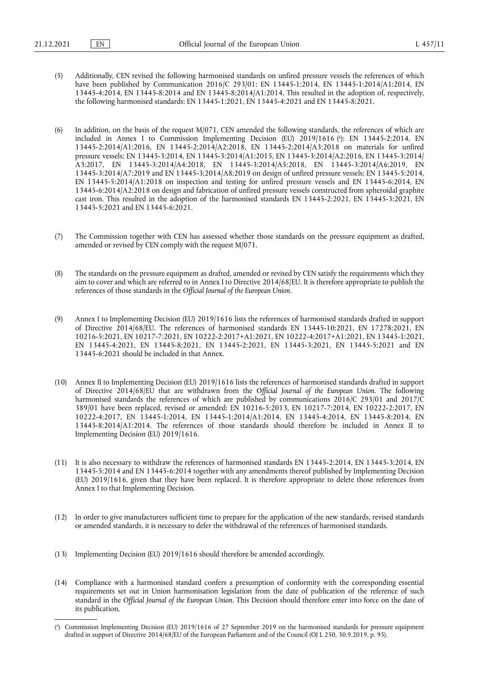- (5) Additionally, CEN revised the following harmonised standards on unfired pressure vessels the references of which have been published by Communication 2016/C 293/01: EN 13445-1:2014, EN 13445-1:2014/A1:2014, EN 13445-4:2014, EN 13445-8:2014 and EN 13445-8:2014/A1:2014. This resulted in the adoption of, respectively, the following harmonised standards: EN 13445-1:2021, EN 13445-4:2021 and EN 13445-8:2021.
- <span id="page-1-1"></span>(6) In addition, on the basis of the request  $M/071$ , CEN amended the following standards, the references of which are included in Annex I to Commission Implementing Decision (EU) 2019/1616 [\(](#page-1-0) 6 ): EN 13445-2:2014, EN 13445-2:2014/A1:2016, EN 13445-2:2014/A2:2018, EN 13445-2:2014/A3:2018 on materials for unfired pressure vessels; EN 13445-3:2014, EN 13445-3:2014/A1:2015, EN 13445-3:2014/A2:2016, EN 13445-3:2014/ A3:2017, EN 13445-3:2014/A4:2018, EN 13445-3:2014/A5:2018, EN 13445-3:2014/A6:2019, EN 13445-3:2014/A7:2019 and EN 13445-3:2014/A8:2019 on design of unfired pressure vessels; EN 13445-5:2014, EN 13445-5:2014/A1:2018 on inspection and testing for unfired pressure vessels and EN 13445-6:2014, EN 13445-6:2014/A2:2018 on design and fabrication of unfired pressure vessels constructed from spheroidal graphite cast iron. This resulted in the adoption of the harmonised standards EN 13445-2:2021, EN 13445-3:2021, EN 13445-5:2021 and EN 13445-6:2021.
- (7) The Commission together with CEN has assessed whether those standards on the pressure equipment as drafted, amended or revised by CEN comply with the request M/071.
- (8) The standards on the pressure equipment as drafted, amended or revised by CEN satisfy the requirements which they aim to cover and which are referred to in Annex I to Directive 2014/68/EU. It is therefore appropriate to publish the references of those standards in the *Official Journal of the European Union*.
- (9) Annex I to Implementing Decision (EU) 2019/1616 lists the references of harmonised standards drafted in support of Directive 2014/68/EU. The references of harmonised standards EN 13445-10:2021, EN 17278:2021, EN 10216-5:2021, EN 10217-7:2021, EN 10222-2:2017+A1:2021, EN 10222-4:2017+A1:2021, EN 13445-1:2021, EN 13445-4:2021, EN 13445-8:2021, EN 13445-2:2021, EN 13445-3:2021, EN 13445-5:2021 and EN 13445-6:2021 should be included in that Annex.
- (10) Annex II to Implementing Decision (EU) 2019/1616 lists the references of harmonised standards drafted in support of Directive 2014/68/EU that are withdrawn from the *Official Journal of the European Union*. The following harmonised standards the references of which are published by communications 2016/C 293/01 and 2017/C 389/01 have been replaced, revised or amended: EN 10216-5:2013, EN 10217-7:2014, EN 10222-2:2017, EN 10222-4:2017, EN 13445-1:2014, EN 13445-1:2014/A1:2014, EN 13445-4:2014, EN 13445-8:2014, EN 13445-8:2014/A1:2014. The references of those standards should therefore be included in Annex II to Implementing Decision (EU) 2019/1616.
- (11) It is also necessary to withdraw the references of harmonised standards EN 13445-2:2014, EN 13445-3:2014, EN 13445-5:2014 and EN 13445-6:2014 together with any amendments thereof published by Implementing Decision (EU) 2019/1616, given that they have been replaced. It is therefore appropriate to delete those references from Annex I to that Implementing Decision.
- (12) In order to give manufacturers sufficient time to prepare for the application of the new standards, revised standards or amended standards, it is necessary to defer the withdrawal of the references of harmonised standards.
- (13) Implementing Decision (EU) 2019/1616 should therefore be amended accordingly.
- (14) Compliance with a harmonised standard confers a presumption of conformity with the corresponding essential requirements set out in Union harmonisation legislation from the date of publication of the reference of such standard in the *Official Journal of the European Union*. This Decision should therefore enter into force on the date of its publication,

<span id="page-1-0"></span>[<sup>\(</sup>](#page-1-1) 6 ) Commission Implementing Decision (EU) 2019/1616 of 27 September 2019 on the harmonised standards for pressure equipment drafted in support of Directive 2014/68/EU of the European Parliament and of the Council (OJ L 250, 30.9.2019, p. 95).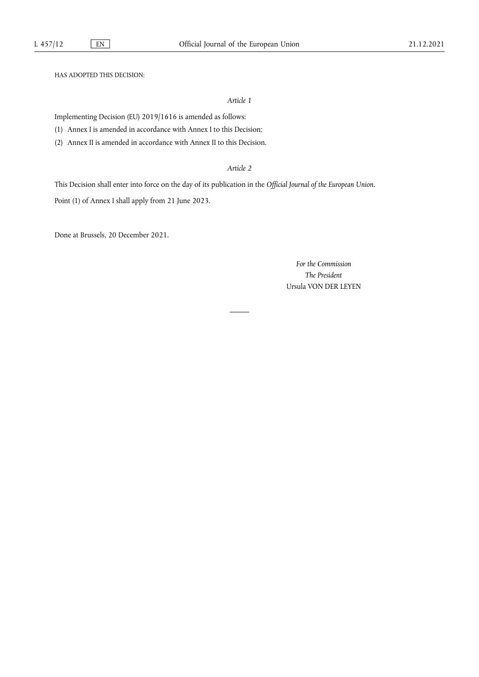HAS ADOPTED THIS DECISION:

*Article 1*

Implementing Decision (EU) 2019/1616 is amended as follows:

(1) Annex I is amended in accordance with Annex I to this Decision;

(2) Annex II is amended in accordance with Annex II to this Decision.

## *Article 2*

This Decision shall enter into force on the day of its publication in the *Official Journal of the European Union*. Point (1) of Annex I shall apply from 21 June 2023.

Done at Brussels, 20 December 2021.

*For the Commission The President* Ursula VON DER LEYEN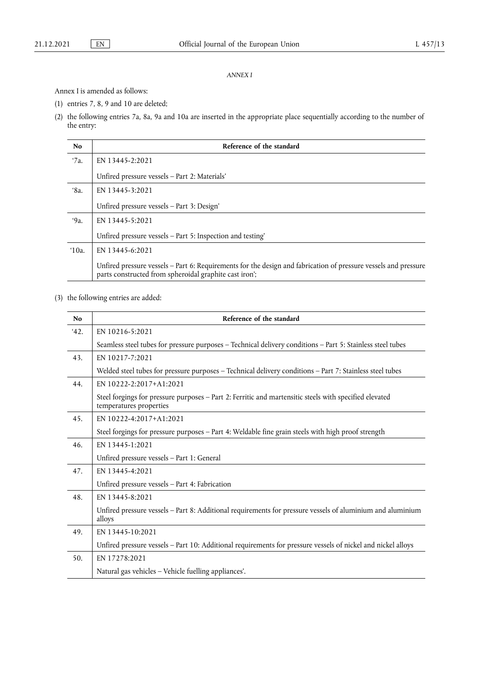### *ANNEX I*

Annex I is amended as follows:

- (1) entries 7, 8, 9 and 10 are deleted;
- (2) the following entries 7a, 8a, 9a and 10a are inserted in the appropriate place sequentially according to the number of the entry:

| No               | Reference of the standard                                                                                                                                                 |
|------------------|---------------------------------------------------------------------------------------------------------------------------------------------------------------------------|
| '7a.             | EN 13445-2:2021                                                                                                                                                           |
|                  | Unfired pressure vessels - Part 2: Materials'                                                                                                                             |
| '8a.             | EN 13445-3:2021                                                                                                                                                           |
|                  | Unfired pressure vessels - Part 3: Design'                                                                                                                                |
| '9а.             | EN 13445-5:2021                                                                                                                                                           |
|                  | Unfired pressure vessels - Part 5: Inspection and testing'                                                                                                                |
| $^{\prime}10a$ . | EN 13445-6:2021                                                                                                                                                           |
|                  | Unfired pressure vessels – Part 6: Requirements for the design and fabrication of pressure vessels and pressure<br>parts constructed from spheroidal graphite cast iron'; |

(3) the following entries are added:

| N <sub>0</sub> | Reference of the standard                                                                                                         |
|----------------|-----------------------------------------------------------------------------------------------------------------------------------|
| 42.            | EN 10216-5:2021                                                                                                                   |
|                | Seamless steel tubes for pressure purposes - Technical delivery conditions - Part 5: Stainless steel tubes                        |
| 43.            | EN 10217-7:2021                                                                                                                   |
|                | Welded steel tubes for pressure purposes - Technical delivery conditions - Part 7: Stainless steel tubes                          |
| 44.            | EN 10222-2:2017+A1:2021                                                                                                           |
|                | Steel forgings for pressure purposes - Part 2: Ferritic and martensitic steels with specified elevated<br>temperatures properties |
| 45.            | EN 10222-4:2017+A1:2021                                                                                                           |
|                | Steel forgings for pressure purposes - Part 4: Weldable fine grain steels with high proof strength                                |
| 46.            | EN 13445-1:2021                                                                                                                   |
|                | Unfired pressure vessels - Part 1: General                                                                                        |
| 47.            | EN 13445-4:2021                                                                                                                   |
|                | Unfired pressure vessels - Part 4: Fabrication                                                                                    |
| 48.            | EN 13445-8:2021                                                                                                                   |
|                | Unfired pressure vessels - Part 8: Additional requirements for pressure vessels of aluminium and aluminium<br>alloys              |
| 49.            | EN 13445-10:2021                                                                                                                  |
|                | Unfired pressure vessels - Part 10: Additional requirements for pressure vessels of nickel and nickel alloys                      |
| 50.            | EN 17278:2021                                                                                                                     |
|                | Natural gas vehicles - Vehicle fuelling appliances'.                                                                              |